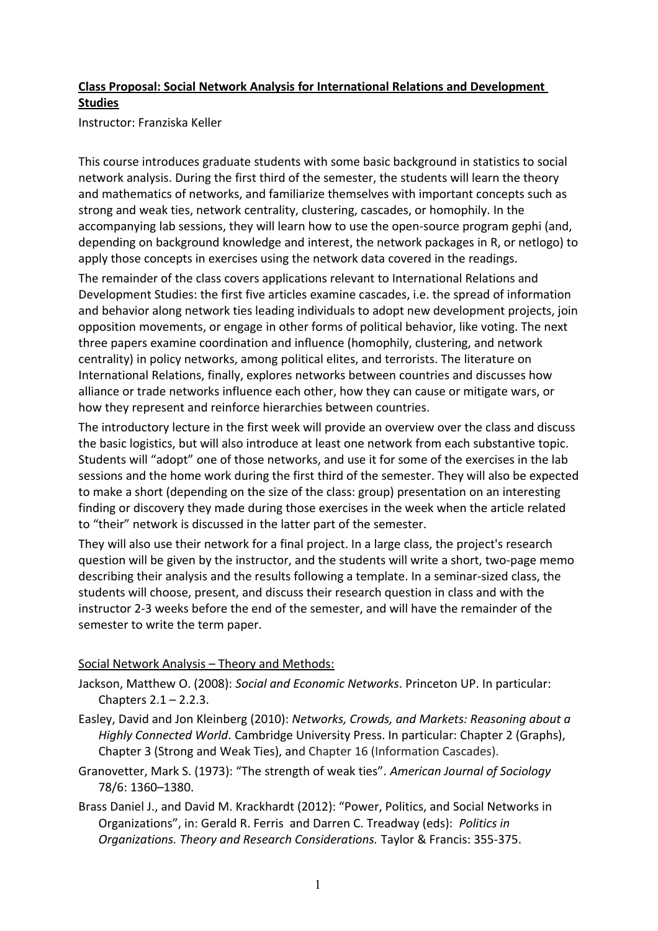# **Class Proposal: Social Network Analysis for International Relations and Development Studies**

Instructor: Franziska Keller

This course introduces graduate students with some basic background in statistics to social network analysis. During the first third of the semester, the students will learn the theory and mathematics of networks, and familiarize themselves with important concepts such as strong and weak ties, network centrality, clustering, cascades, or homophily. In the accompanying lab sessions, they will learn how to use the open-source program gephi (and, depending on background knowledge and interest, the network packages in R, or netlogo) to apply those concepts in exercises using the network data covered in the readings.

The remainder of the class covers applications relevant to International Relations and Development Studies: the first five articles examine cascades, i.e. the spread of information and behavior along network ties leading individuals to adopt new development projects, join opposition movements, or engage in other forms of political behavior, like voting. The next three papers examine coordination and influence (homophily, clustering, and network centrality) in policy networks, among political elites, and terrorists. The literature on International Relations, finally, explores networks between countries and discusses how alliance or trade networks influence each other, how they can cause or mitigate wars, or how they represent and reinforce hierarchies between countries.

The introductory lecture in the first week will provide an overview over the class and discuss the basic logistics, but will also introduce at least one network from each substantive topic. Students will "adopt" one of those networks, and use it for some of the exercises in the lab sessions and the home work during the first third of the semester. They will also be expected to make a short (depending on the size of the class: group) presentation on an interesting finding or discovery they made during those exercises in the week when the article related to "their" network is discussed in the latter part of the semester.

They will also use their network for a final project. In a large class, the project's research question will be given by the instructor, and the students will write a short, two-page memo describing their analysis and the results following a template. In a seminar-sized class, the students will choose, present, and discuss their research question in class and with the instructor 2-3 weeks before the end of the semester, and will have the remainder of the semester to write the term paper.

## Social Network Analysis – Theory and Methods:

- Jackson, Matthew O. (2008): *Social and Economic Networks*. Princeton UP. In particular: Chapters 2.1 – 2.2.3.
- Easley, David and Jon Kleinberg (2010): *Networks, Crowds, and Markets: Reasoning about a Highly Connected World*. Cambridge University Press. In particular: Chapter 2 (Graphs), Chapter 3 (Strong and Weak Ties), and Chapter 16 (Information Cascades).
- Granovetter, Mark S. (1973): "The strength of weak ties". *American Journal of Sociology*  78/6: 1360–1380.
- Brass Daniel J., and David M. Krackhardt (2012): "Power, Politics, and Social Networks in Organizations", in: Gerald R. Ferris and Darren C. Treadway (eds): *Politics in Organizations. Theory and Research Considerations.* Taylor & Francis: 355-375.